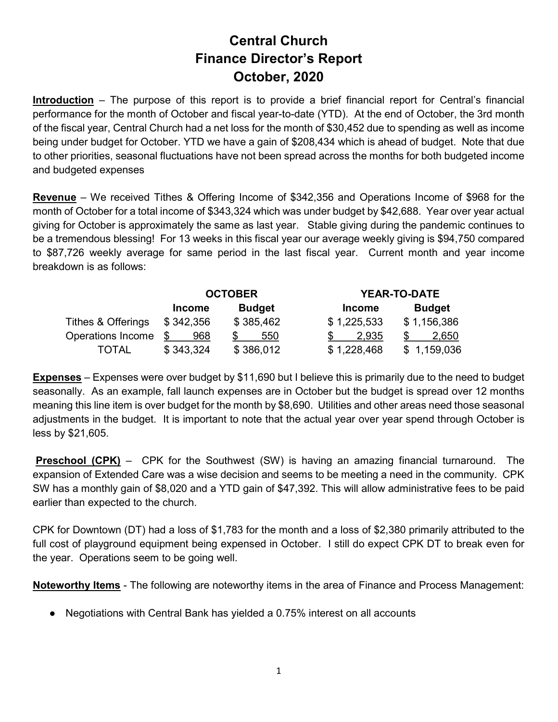## Central Church Finance Director's Report October, 2020

Introduction – The purpose of this report is to provide a brief financial report for Central's financial performance for the month of October and fiscal year-to-date (YTD). At the end of October, the 3rd month of the fiscal year, Central Church had a net loss for the month of \$30,452 due to spending as well as income being under budget for October. YTD we have a gain of \$208,434 which is ahead of budget. Note that due to other priorities, seasonal fluctuations have not been spread across the months for both budgeted income and budgeted expenses

Revenue – We received Tithes & Offering Income of \$342,356 and Operations Income of \$968 for the month of October for a total income of \$343,324 which was under budget by \$42,688. Year over year actual giving for October is approximately the same as last year. Stable giving during the pandemic continues to be a tremendous blessing! For 13 weeks in this fiscal year our average weekly giving is \$94,750 compared to \$87,726 weekly average for same period in the last fiscal year. Current month and year income breakdown is as follows:

|                    | <b>OCTOBER</b> |               | <b>YEAR-TO-DATE</b> |               |
|--------------------|----------------|---------------|---------------------|---------------|
|                    | <b>Income</b>  | <b>Budget</b> | <b>Income</b>       | <b>Budget</b> |
| Tithes & Offerings | \$342,356      | \$385,462     | \$1,225,533         | \$1,156,386   |
| Operations Income  | S<br>968       | 550           | 2.935               | 2,650         |
| <b>TOTAL</b>       | \$343,324      | \$386,012     | \$1,228,468         | \$1,159,036   |

Expenses – Expenses were over budget by \$11,690 but I believe this is primarily due to the need to budget seasonally. As an example, fall launch expenses are in October but the budget is spread over 12 months meaning this line item is over budget for the month by \$8,690. Utilities and other areas need those seasonal adjustments in the budget. It is important to note that the actual year over year spend through October is less by \$21,605.

**Preschool (CPK)** – CPK for the Southwest (SW) is having an amazing financial turnaround. The expansion of Extended Care was a wise decision and seems to be meeting a need in the community. CPK SW has a monthly gain of \$8,020 and a YTD gain of \$47,392. This will allow administrative fees to be paid earlier than expected to the church.

CPK for Downtown (DT) had a loss of \$1,783 for the month and a loss of \$2,380 primarily attributed to the full cost of playground equipment being expensed in October. I still do expect CPK DT to break even for the year. Operations seem to be going well.

Noteworthy Items - The following are noteworthy items in the area of Finance and Process Management:

● Negotiations with Central Bank has yielded a 0.75% interest on all accounts